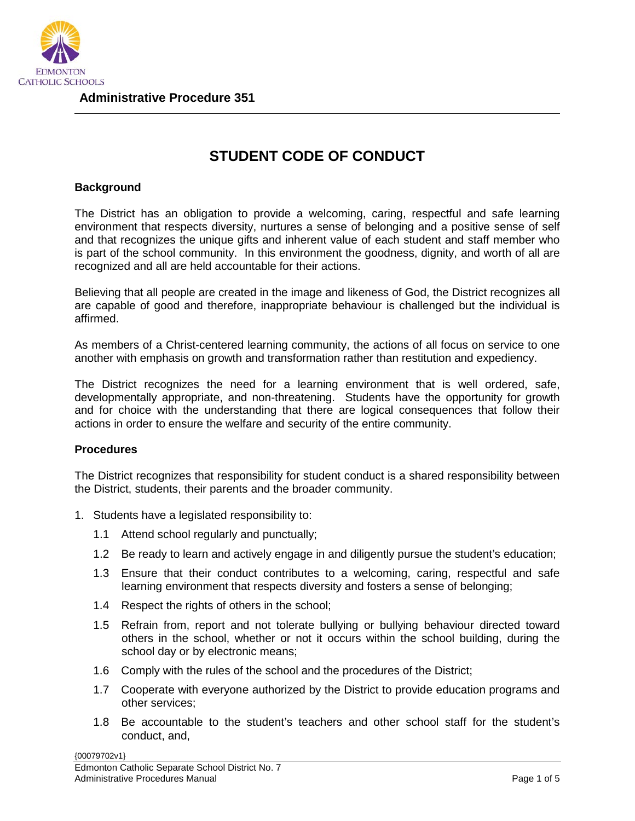

## **STUDENT CODE OF CONDUCT**

## **Background**

The District has an obligation to provide a welcoming, caring, respectful and safe learning environment that respects diversity, nurtures a sense of belonging and a positive sense of self and that recognizes the unique gifts and inherent value of each student and staff member who is part of the school community. In this environment the goodness, dignity, and worth of all are recognized and all are held accountable for their actions.

Believing that all people are created in the image and likeness of God, the District recognizes all are capable of good and therefore, inappropriate behaviour is challenged but the individual is affirmed.

As members of a Christ-centered learning community, the actions of all focus on service to one another with emphasis on growth and transformation rather than restitution and expediency.

The District recognizes the need for a learning environment that is well ordered, safe, developmentally appropriate, and non-threatening. Students have the opportunity for growth and for choice with the understanding that there are logical consequences that follow their actions in order to ensure the welfare and security of the entire community.

## **Procedures**

The District recognizes that responsibility for student conduct is a shared responsibility between the District, students, their parents and the broader community.

- 1. Students have a legislated responsibility to:
	- 1.1 Attend school regularly and punctually;
	- 1.2 Be ready to learn and actively engage in and diligently pursue the student's education;
	- 1.3 Ensure that their conduct contributes to a welcoming, caring, respectful and safe learning environment that respects diversity and fosters a sense of belonging;
	- 1.4 Respect the rights of others in the school;
	- 1.5 Refrain from, report and not tolerate bullying or bullying behaviour directed toward others in the school, whether or not it occurs within the school building, during the school day or by electronic means;
	- 1.6 Comply with the rules of the school and the procedures of the District;
	- 1.7 Cooperate with everyone authorized by the District to provide education programs and other services;
	- 1.8 Be accountable to the student's teachers and other school staff for the student's conduct, and,

{00079702v1}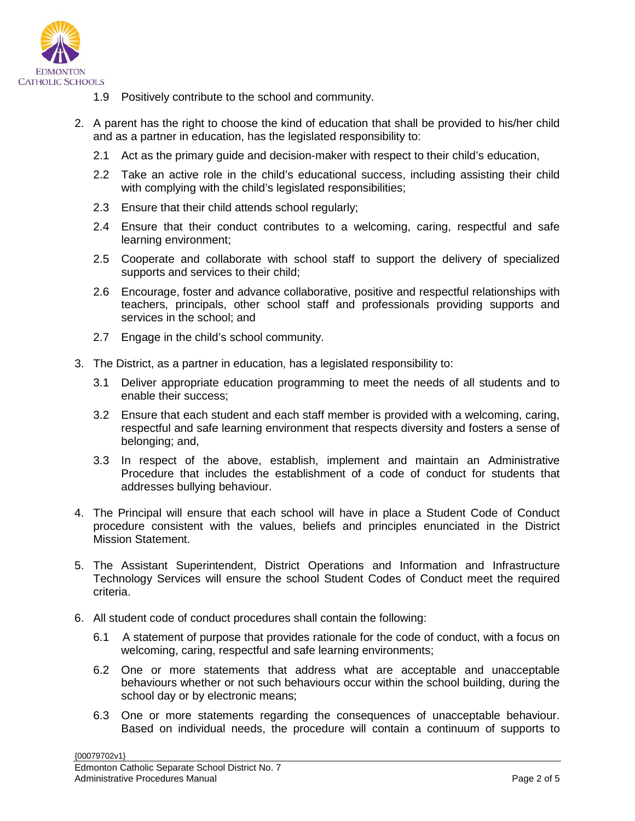

- 1.9 Positively contribute to the school and community.
- 2. A parent has the right to choose the kind of education that shall be provided to his/her child and as a partner in education, has the legislated responsibility to:
	- 2.1 Act as the primary guide and decision-maker with respect to their child's education,
	- 2.2 Take an active role in the child's educational success, including assisting their child with complying with the child's legislated responsibilities;
	- 2.3 Ensure that their child attends school regularly;
	- 2.4 Ensure that their conduct contributes to a welcoming, caring, respectful and safe learning environment;
	- 2.5 Cooperate and collaborate with school staff to support the delivery of specialized supports and services to their child;
	- 2.6 Encourage, foster and advance collaborative, positive and respectful relationships with teachers, principals, other school staff and professionals providing supports and services in the school; and
	- 2.7 Engage in the child's school community.
- 3. The District, as a partner in education, has a legislated responsibility to:
	- 3.1 Deliver appropriate education programming to meet the needs of all students and to enable their success;
	- 3.2 Ensure that each student and each staff member is provided with a welcoming, caring, respectful and safe learning environment that respects diversity and fosters a sense of belonging; and,
	- 3.3 In respect of the above, establish, implement and maintain an Administrative Procedure that includes the establishment of a code of conduct for students that addresses bullying behaviour.
- 4. The Principal will ensure that each school will have in place a Student Code of Conduct procedure consistent with the values, beliefs and principles enunciated in the District Mission Statement.
- 5. The Assistant Superintendent, District Operations and Information and Infrastructure Technology Services will ensure the school Student Codes of Conduct meet the required criteria.
- 6. All student code of conduct procedures shall contain the following:
	- 6.1 A statement of purpose that provides rationale for the code of conduct, with a focus on welcoming, caring, respectful and safe learning environments;
	- 6.2 One or more statements that address what are acceptable and unacceptable behaviours whether or not such behaviours occur within the school building, during the school day or by electronic means;
	- 6.3 One or more statements regarding the consequences of unacceptable behaviour. Based on individual needs, the procedure will contain a continuum of supports to

{00079702v1}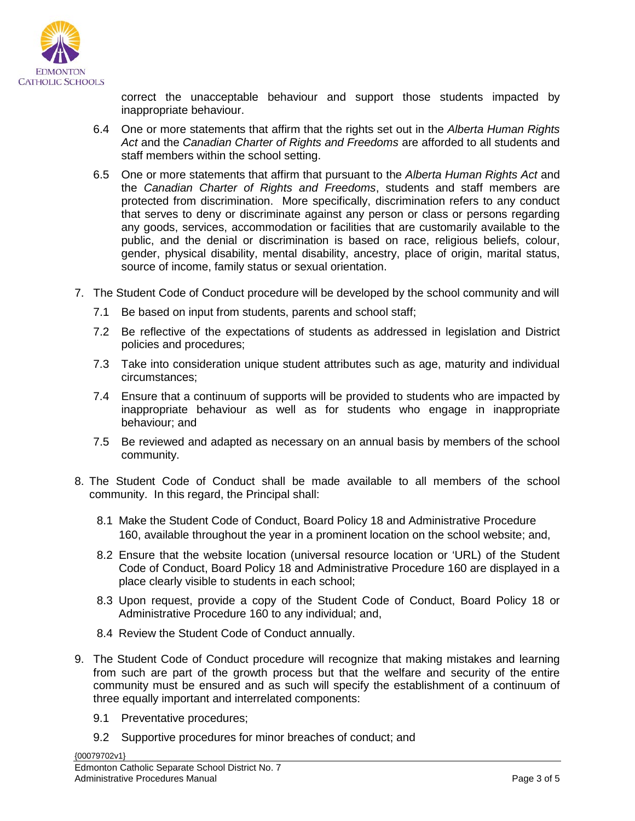

correct the unacceptable behaviour and support those students impacted by inappropriate behaviour.

- 6.4 One or more statements that affirm that the rights set out in the *Alberta Human Rights Act* and the *Canadian Charter of Rights and Freedoms* are afforded to all students and staff members within the school setting.
- 6.5 One or more statements that affirm that pursuant to the *Alberta Human Rights Act* and the *Canadian Charter of Rights and Freedoms*, students and staff members are protected from discrimination. More specifically, discrimination refers to any conduct that serves to deny or discriminate against any person or class or persons regarding any goods, services, accommodation or facilities that are customarily available to the public, and the denial or discrimination is based on race, religious beliefs, colour, gender, physical disability, mental disability, ancestry, place of origin, marital status, source of income, family status or sexual orientation.
- 7. The Student Code of Conduct procedure will be developed by the school community and will
	- 7.1 Be based on input from students, parents and school staff;
	- 7.2 Be reflective of the expectations of students as addressed in legislation and District policies and procedures;
	- 7.3 Take into consideration unique student attributes such as age, maturity and individual circumstances;
	- 7.4 Ensure that a continuum of supports will be provided to students who are impacted by inappropriate behaviour as well as for students who engage in inappropriate behaviour; and
	- 7.5 Be reviewed and adapted as necessary on an annual basis by members of the school community.
- 8. The Student Code of Conduct shall be made available to all members of the school community. In this regard, the Principal shall:
	- 8.1 Make the Student Code of Conduct, Board Policy 18 and Administrative Procedure 160, available throughout the year in a prominent location on the school website; and,
	- 8.2 Ensure that the website location (universal resource location or 'URL) of the Student Code of Conduct, Board Policy 18 and Administrative Procedure 160 are displayed in a place clearly visible to students in each school;
	- 8.3 Upon request, provide a copy of the Student Code of Conduct, Board Policy 18 or Administrative Procedure 160 to any individual; and,
	- 8.4 Review the Student Code of Conduct annually.
- 9. The Student Code of Conduct procedure will recognize that making mistakes and learning from such are part of the growth process but that the welfare and security of the entire community must be ensured and as such will specify the establishment of a continuum of three equally important and interrelated components:
	- 9.1 Preventative procedures;
	- 9.2 Supportive procedures for minor breaches of conduct; and

{00079702v1}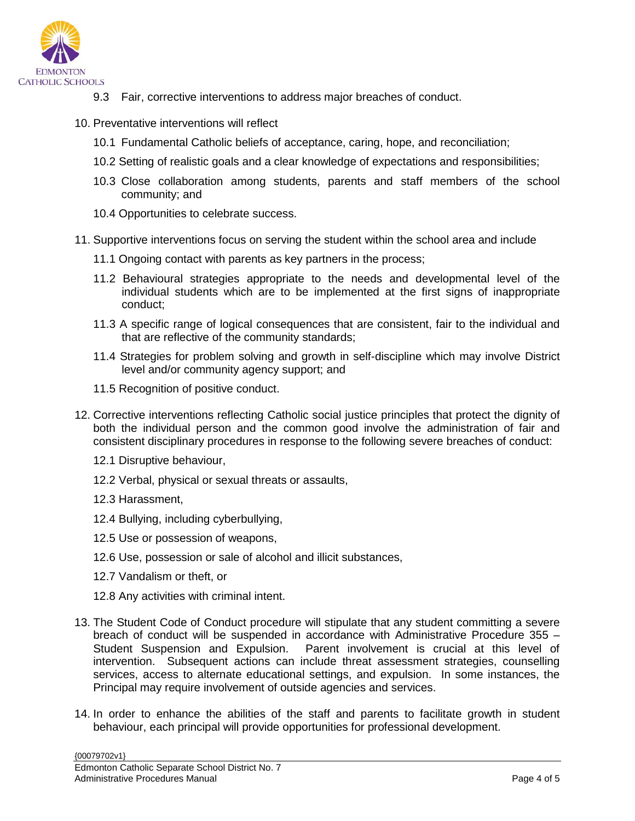

- 9.3 Fair, corrective interventions to address major breaches of conduct.
- 10. Preventative interventions will reflect
	- 10.1 Fundamental Catholic beliefs of acceptance, caring, hope, and reconciliation;
	- 10.2 Setting of realistic goals and a clear knowledge of expectations and responsibilities;
	- 10.3 Close collaboration among students, parents and staff members of the school community; and
	- 10.4 Opportunities to celebrate success.
- 11. Supportive interventions focus on serving the student within the school area and include
	- 11.1 Ongoing contact with parents as key partners in the process;
	- 11.2 Behavioural strategies appropriate to the needs and developmental level of the individual students which are to be implemented at the first signs of inappropriate conduct;
	- 11.3 A specific range of logical consequences that are consistent, fair to the individual and that are reflective of the community standards;
	- 11.4 Strategies for problem solving and growth in self-discipline which may involve District level and/or community agency support; and
	- 11.5 Recognition of positive conduct.
- 12. Corrective interventions reflecting Catholic social justice principles that protect the dignity of both the individual person and the common good involve the administration of fair and consistent disciplinary procedures in response to the following severe breaches of conduct:
	- 12.1 Disruptive behaviour,
	- 12.2 Verbal, physical or sexual threats or assaults,
	- 12.3 Harassment,
	- 12.4 Bullying, including cyberbullying,
	- 12.5 Use or possession of weapons,
	- 12.6 Use, possession or sale of alcohol and illicit substances,
	- 12.7 Vandalism or theft, or
	- 12.8 Any activities with criminal intent.
- 13. The Student Code of Conduct procedure will stipulate that any student committing a severe breach of conduct will be suspended in accordance with Administrative Procedure 355 – Student Suspension and Expulsion. Parent involvement is crucial at this level of intervention. Subsequent actions can include threat assessment strategies, counselling services, access to alternate educational settings, and expulsion. In some instances, the Principal may require involvement of outside agencies and services.
- 14. In order to enhance the abilities of the staff and parents to facilitate growth in student behaviour, each principal will provide opportunities for professional development.